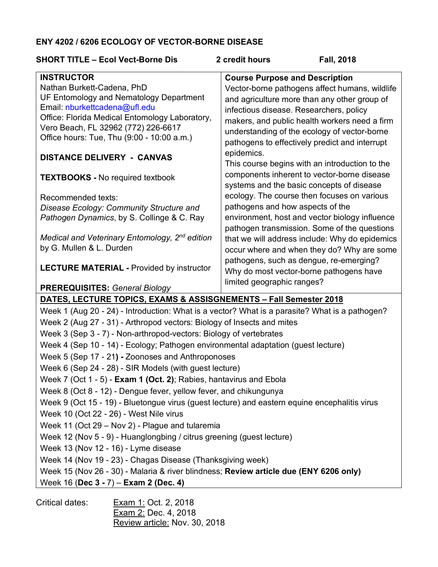## **ENY 4202 / 6206 ECOLOGY OF VECTOR-BORNE DISEASE**

| <b>SHORT TITLE - Ecol Vect-Borne Dis</b>                                                       | <b>Fall, 2018</b><br>2 credit hours                          |  |
|------------------------------------------------------------------------------------------------|--------------------------------------------------------------|--|
| <b>INSTRUCTOR</b>                                                                              | <b>Course Purpose and Description</b>                        |  |
| Nathan Burkett-Cadena, PhD                                                                     | Vector-borne pathogens affect humans, wildlife               |  |
| UF Entomology and Nematology Department                                                        | and agriculture more than any other group of                 |  |
| Email: nburkettcadena@ufl.edu<br>Office: Florida Medical Entomology Laboratory,                | infectious disease. Researchers, policy                      |  |
| Vero Beach, FL 32962 (772) 226-6617                                                            | makers, and public health workers need a firm                |  |
| Office hours: Tue, Thu (9:00 - 10:00 a.m.)                                                     | understanding of the ecology of vector-borne                 |  |
|                                                                                                | pathogens to effectively predict and interrupt               |  |
| <b>DISTANCE DELIVERY - CANVAS</b>                                                              | epidemics.<br>This course begins with an introduction to the |  |
|                                                                                                | components inherent to vector-borne disease                  |  |
| <b>TEXTBOOKS - No required textbook</b>                                                        | systems and the basic concepts of disease                    |  |
| Recommended texts:                                                                             | ecology. The course then focuses on various                  |  |
| Disease Ecology: Community Structure and                                                       | pathogens and how aspects of the                             |  |
| Pathogen Dynamics, by S. Collinge & C. Ray                                                     | environment, host and vector biology influence               |  |
|                                                                                                | pathogen transmission. Some of the questions                 |  |
| Medical and Veterinary Entomology, $2^{nd}$ edition                                            | that we will address include: Why do epidemics               |  |
| by G. Mullen & L. Durden                                                                       | occur where and when they do? Why are some                   |  |
|                                                                                                | pathogens, such as dengue, re-emerging?                      |  |
| <b>LECTURE MATERIAL - Provided by instructor</b>                                               | Why do most vector-borne pathogens have                      |  |
| <b>PREREQUISITES: General Biology</b>                                                          | limited geographic ranges?                                   |  |
| DATES, LECTURE TOPICS, EXAMS & ASSISGNEMENTS - Fall Semester 2018                              |                                                              |  |
| Week 1 (Aug 20 - 24) - Introduction: What is a vector? What is a parasite? What is a pathogen? |                                                              |  |
| Week 2 (Aug 27 - 31) - Arthropod vectors: Biology of Insects and mites                         |                                                              |  |
| Week 3 (Sep 3 - 7) - Non-arthropod-vectors: Biology of vertebrates                             |                                                              |  |

- Week 4 (Sep 10 14) Ecology; Pathogen environmental adaptation (guest lecture)
- Week 5 (Sep 17 21**) -** Zoonoses and Anthroponoses
- Week 6 (Sep 24 28) SIR Models (with guest lecture)
- Week 7 (Oct 1 5) **Exam 1 (Oct. 2)**; Rabies, hantavirus and Ebola
- Week 8 (Oct 8 12) Dengue fever, yellow fever, and chikungunya

Week 9 (Oct 15 - 19) - Bluetongue virus (guest lecture) and eastern equine encephalitis virus

Week 10 (Oct 22 - 26) - West Nile virus

- Week 11 (Oct 29 Nov 2) Plague and tularemia
- Week 12 (Nov 5 9) Huanglongbing / citrus greening (guest lecture)
- Week 13 (Nov 12 16) Lyme disease
- Week 14 (Nov 19 23) Chagas Disease (Thanksgiving week)
- Week 15 (Nov 26 30) Malaria & river blindness; **Review article due (ENY 6206 only)**
- Week 16 (**Dec 3 -** 7) **Exam 2 (Dec. 4)**

| Critical dates: | Exam 1: Oct. 2, 2018          |
|-----------------|-------------------------------|
|                 | Exam 2: Dec. 4, 2018          |
|                 | Review article: Nov. 30, 2018 |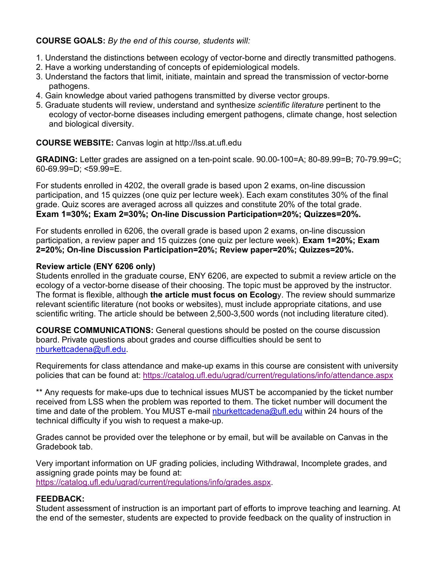## **COURSE GOALS:** *By the end of this course, students will:*

- 1. Understand the distinctions between ecology of vector-borne and directly transmitted pathogens.
- 2. Have a working understanding of concepts of epidemiological models.
- 3. Understand the factors that limit, initiate, maintain and spread the transmission of vector-borne pathogens.
- 4. Gain knowledge about varied pathogens transmitted by diverse vector groups.
- 5. Graduate students will review, understand and synthesize *scientific literature* pertinent to the ecology of vector-borne diseases including emergent pathogens, climate change, host selection and biological diversity.

## **COURSE WEBSITE:** Canvas login at http://lss.at.ufl.edu

**GRADING:** Letter grades are assigned on a ten-point scale. 90.00-100=A; 80-89.99=B; 70-79.99=C; 60-69.99=D; <59.99=E.

For students enrolled in 4202, the overall grade is based upon 2 exams, on-line discussion participation, and 15 quizzes (one quiz per lecture week). Each exam constitutes 30% of the final grade. Quiz scores are averaged across all quizzes and constitute 20% of the total grade. **Exam 1=30%; Exam 2=30%; On-line Discussion Participation=20%; Quizzes=20%.**

For students enrolled in 6206, the overall grade is based upon 2 exams, on-line discussion participation, a review paper and 15 quizzes (one quiz per lecture week). **Exam 1=20%; Exam 2=20%; On-line Discussion Participation=20%; Review paper=20%; Quizzes=20%.**

## **Review article (ENY 6206 only)**

Students enrolled in the graduate course, ENY 6206, are expected to submit a review article on the ecology of a vector-borne disease of their choosing. The topic must be approved by the instructor. The format is flexible, although **the article must focus on Ecolog**y. The review should summarize relevant scientific literature (not books or websites), must include appropriate citations, and use scientific writing. The article should be between 2,500-3,500 words (not including literature cited).

**COURSE COMMUNICATIONS:** General questions should be posted on the course discussion board. Private questions about grades and course difficulties should be sent to nburkettcadena@ufl.edu.

Requirements for class attendance and make-up exams in this course are consistent with university policies that can be found at: https://catalog.ufl.edu/ugrad/current/regulations/info/attendance.aspx

\*\* Any requests for make-ups due to technical issues MUST be accompanied by the ticket number received from LSS when the problem was reported to them. The ticket number will document the time and date of the problem. You MUST e-mail nburkettcadena@ufl.edu within 24 hours of the technical difficulty if you wish to request a make-up.

Grades cannot be provided over the telephone or by email, but will be available on Canvas in the Gradebook tab.

Very important information on UF grading policies, including Withdrawal, Incomplete grades, and assigning grade points may be found at: https://catalog.ufl.edu/ugrad/current/regulations/info/grades.aspx.

## **FEEDBACK:**

Student assessment of instruction is an important part of efforts to improve teaching and learning. At the end of the semester, students are expected to provide feedback on the quality of instruction in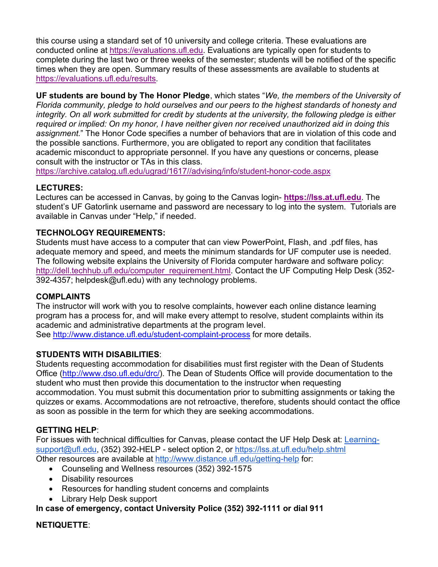this course using a standard set of 10 university and college criteria. These evaluations are conducted online at https://evaluations.ufl.edu. Evaluations are typically open for students to complete during the last two or three weeks of the semester; students will be notified of the specific times when they are open. Summary results of these assessments are available to students at https://evaluations.ufl.edu/results.

**UF students are bound by The Honor Pledge**, which states "*We, the members of the University of Florida community, pledge to hold ourselves and our peers to the highest standards of honesty and integrity. On all work submitted for credit by students at the university, the following pledge is either required or implied: On my honor, I have neither given nor received unauthorized aid in doing this assignment.*" The Honor Code specifies a number of behaviors that are in violation of this code and the possible sanctions. Furthermore, you are obligated to report any condition that facilitates academic misconduct to appropriate personnel. If you have any questions or concerns, please consult with the instructor or TAs in this class.

https://archive.catalog.ufl.edu/ugrad/1617//advising/info/student-honor-code.aspx

#### **LECTURES:**

Lectures can be accessed in Canvas, by going to the Canvas login- **https://lss.at.ufl.edu**. The student's UF Gatorlink username and password are necessary to log into the system. Tutorials are available in Canvas under "Help," if needed.

## **TECHNOLOGY REQUIREMENTS:**

Students must have access to a computer that can view PowerPoint, Flash, and .pdf files, has adequate memory and speed, and meets the minimum standards for UF computer use is needed. The following website explains the University of Florida computer hardware and software policy: http://dell.techhub.ufl.edu/computer\_requirement.html. Contact the UF Computing Help Desk (352-392-4357; helpdesk@ufl.edu) with any technology problems.

#### **COMPLAINTS**

The instructor will work with you to resolve complaints, however each online distance learning program has a process for, and will make every attempt to resolve, student complaints within its academic and administrative departments at the program level. See http://www.distance.ufl.edu/student-complaint-process for more details.

## **STUDENTS WITH DISABILITIES**:

Students requesting accommodation for disabilities must first register with the Dean of Students Office (http://www.dso.ufl.edu/drc/). The Dean of Students Office will provide documentation to the student who must then provide this documentation to the instructor when requesting accommodation. You must submit this documentation prior to submitting assignments or taking the quizzes or exams. Accommodations are not retroactive, therefore, students should contact the office as soon as possible in the term for which they are seeking accommodations.

## **GETTING HELP**:

For issues with technical difficulties for Canvas, please contact the UF Help Desk at: Learningsupport@ufl.edu, (352) 392-HELP - select option 2, or https://lss.at.ufl.edu/help.shtml Other resources are available at http://www.distance.ufl.edu/getting-help for:

• Counseling and Wellness resources (352) 392-1575

- Disability resources
- Resources for handling student concerns and complaints
- Library Help Desk support

**In case of emergency, contact University Police (352) 392-1111 or dial 911**

## **NETIQUETTE**: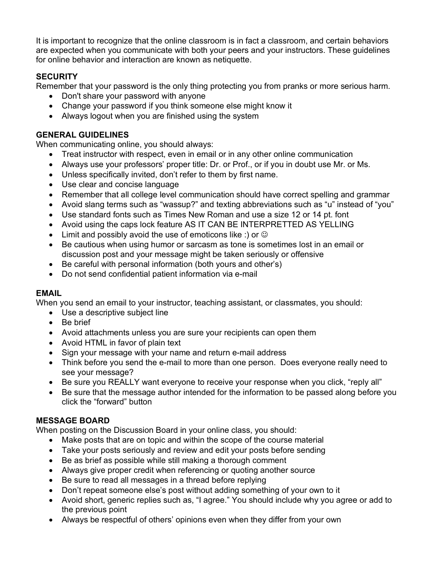It is important to recognize that the online classroom is in fact a classroom, and certain behaviors are expected when you communicate with both your peers and your instructors. These guidelines for online behavior and interaction are known as netiquette.

# **SECURITY**

Remember that your password is the only thing protecting you from pranks or more serious harm.

- Don't share your password with anyone
- Change your password if you think someone else might know it
- Always logout when you are finished using the system

## **GENERAL GUIDELINES**

When communicating online, you should always:

- Treat instructor with respect, even in email or in any other online communication
- Always use your professors' proper title: Dr. or Prof., or if you in doubt use Mr. or Ms.
- Unless specifically invited, don't refer to them by first name.
- Use clear and concise language
- Remember that all college level communication should have correct spelling and grammar
- Avoid slang terms such as "wassup?" and texting abbreviations such as "u" instead of "you"
- Use standard fonts such as Times New Roman and use a size 12 or 14 pt. font
- Avoid using the caps lock feature AS IT CAN BE INTERPRETTED AS YELLING
- Limit and possibly avoid the use of emoticons like :) or  $\odot$
- Be cautious when using humor or sarcasm as tone is sometimes lost in an email or discussion post and your message might be taken seriously or offensive
- Be careful with personal information (both yours and other's)
- Do not send confidential patient information via e-mail

# **EMAIL**

When you send an email to your instructor, teaching assistant, or classmates, you should:

- Use a descriptive subject line
- Be brief
- Avoid attachments unless you are sure your recipients can open them
- Avoid HTML in favor of plain text
- Sign your message with your name and return e-mail address
- Think before you send the e-mail to more than one person. Does everyone really need to see your message?
- Be sure you REALLY want everyone to receive your response when you click, "reply all"
- Be sure that the message author intended for the information to be passed along before you click the "forward" button

# **MESSAGE BOARD**

When posting on the Discussion Board in your online class, you should:

- Make posts that are on topic and within the scope of the course material
- Take your posts seriously and review and edit your posts before sending
- Be as brief as possible while still making a thorough comment
- Always give proper credit when referencing or quoting another source
- Be sure to read all messages in a thread before replying
- Don't repeat someone else's post without adding something of your own to it
- Avoid short, generic replies such as, "I agree." You should include why you agree or add to the previous point
- Always be respectful of others' opinions even when they differ from your own